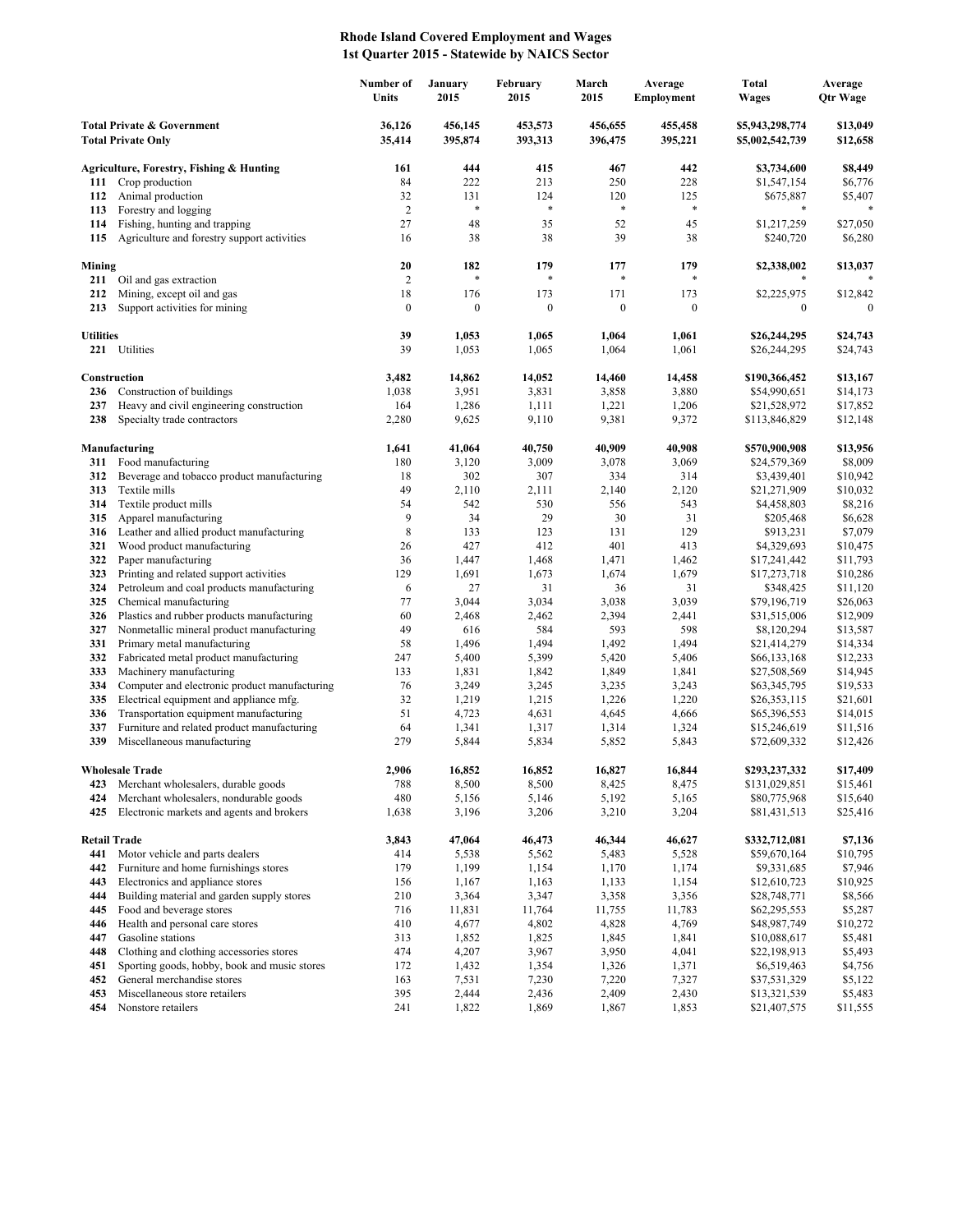## **Rhode Island Covered Employment and Wages 1st Quarter 2015 - Statewide by NAICS Sector**

|                                                                    |                                                                                     | Number of<br>Units | January<br>2015    | February<br>2015   | March<br>2015      | Average<br><b>Employment</b> | <b>Total</b><br><b>Wages</b>       | Average<br>Qtr Wage  |
|--------------------------------------------------------------------|-------------------------------------------------------------------------------------|--------------------|--------------------|--------------------|--------------------|------------------------------|------------------------------------|----------------------|
| <b>Total Private &amp; Government</b><br><b>Total Private Only</b> |                                                                                     | 36,126<br>35,414   | 456,145<br>395,874 | 453,573<br>393,313 | 456,655<br>396,475 | 455,458<br>395,221           | \$5,943,298,774<br>\$5,002,542,739 | \$13,049<br>\$12,658 |
|                                                                    | Agriculture, Forestry, Fishing & Hunting                                            | 161                | 444                | 415                | 467                | 442                          | \$3,734,600                        | \$8,449              |
| 111                                                                | Crop production                                                                     | 84                 | 222                | 213                | 250                | 228                          | \$1,547,154                        | \$6,776              |
| 112                                                                | Animal production                                                                   | 32                 | 131                | 124                | 120                | 125                          | \$675,887                          | \$5,407              |
| 113                                                                | Forestry and logging                                                                | $\sqrt{2}$         | $\ast$             | *                  | $\ast$             | $\ast$                       | *                                  |                      |
| 114                                                                | Fishing, hunting and trapping                                                       | 27                 | 48                 | 35                 | 52                 | 45                           | \$1,217,259                        | \$27,050             |
| 115                                                                | Agriculture and forestry support activities                                         | 16                 | 38                 | 38                 | 39                 | 38                           | \$240,720                          | \$6,280              |
| Mining                                                             |                                                                                     | 20                 | 182                | 179                | 177                | 179                          | \$2,338,002                        | \$13,037             |
| 211                                                                | Oil and gas extraction                                                              | $\overline{c}$     | $\ast$             | *                  | $\ast$             | *                            |                                    |                      |
| 212                                                                | Mining, except oil and gas                                                          | 18                 | 176                | 173                | 171                | 173                          | \$2,225,975                        | \$12,842             |
| 213                                                                | Support activities for mining                                                       | $\boldsymbol{0}$   | $\boldsymbol{0}$   | $\boldsymbol{0}$   | $\boldsymbol{0}$   | $\boldsymbol{0}$             | $\boldsymbol{0}$                   | $\Omega$             |
| <b>Utilities</b>                                                   |                                                                                     | 39                 | 1,053              | 1,065              | 1,064              | 1,061                        | \$26,244,295                       | \$24,743             |
|                                                                    | 221 Utilities                                                                       | 39                 | 1,053              | 1,065              | 1,064              | 1,061                        | \$26,244,295                       | \$24,743             |
|                                                                    |                                                                                     |                    |                    |                    |                    |                              |                                    |                      |
|                                                                    | Construction                                                                        | 3,482              | 14,862             | 14,052             | 14,460             | 14,458                       | \$190,366,452<br>\$54,990,651      | \$13,167             |
| 236<br>237                                                         | Construction of buildings<br>Heavy and civil engineering construction               | 1,038<br>164       | 3,951<br>1,286     | 3,831<br>1,111     | 3,858<br>1,221     | 3,880<br>1,206               | \$21,528,972                       | \$14,173<br>\$17,852 |
| 238                                                                | Specialty trade contractors                                                         | 2,280              | 9,625              | 9,110              | 9,381              | 9,372                        | \$113,846,829                      | \$12,148             |
|                                                                    |                                                                                     |                    |                    |                    |                    |                              |                                    |                      |
|                                                                    | Manufacturing                                                                       | 1,641              | 41,064             | 40,750             | 40,909             | 40,908                       | \$570,900,908                      | \$13,956             |
| 311                                                                | Food manufacturing<br>Beverage and tobacco product manufacturing                    | 180                | 3,120<br>302       | 3,009              | 3,078              | 3,069                        | \$24,579,369                       | \$8,009              |
| 312<br>313                                                         | Textile mills                                                                       | 18<br>49           | 2,110              | 307<br>2,111       | 334<br>2,140       | 314<br>2,120                 | \$3,439,401<br>\$21,271,909        | \$10,942<br>\$10,032 |
| 314                                                                | Textile product mills                                                               | 54                 | 542                | 530                | 556                | 543                          | \$4,458,803                        | \$8,216              |
| 315                                                                | Apparel manufacturing                                                               | 9                  | 34                 | 29                 | 30                 | 31                           | \$205,468                          | \$6,628              |
| 316                                                                | Leather and allied product manufacturing                                            | 8                  | 133                | 123                | 131                | 129                          | \$913,231                          | \$7,079              |
| 321                                                                | Wood product manufacturing                                                          | 26                 | 427                | 412                | 401                | 413                          | \$4,329,693                        | \$10,475             |
| 322                                                                | Paper manufacturing                                                                 | 36                 | 1,447              | 1,468              | 1,471              | 1,462                        | \$17,241,442                       | \$11,793             |
| 323                                                                | Printing and related support activities                                             | 129                | 1,691              | 1,673              | 1,674              | 1,679                        | \$17,273,718                       | \$10,286             |
| 324<br>325                                                         | Petroleum and coal products manufacturing                                           | 6<br>77            | 27<br>3,044        | 31                 | 36<br>3,038        | 31<br>3,039                  | \$348,425<br>\$79,196,719          | \$11,120<br>\$26,063 |
| 326                                                                | Chemical manufacturing<br>Plastics and rubber products manufacturing                | 60                 | 2,468              | 3,034<br>2,462     | 2,394              | 2,441                        | \$31,515,006                       | \$12,909             |
| 327                                                                | Nonmetallic mineral product manufacturing                                           | 49                 | 616                | 584                | 593                | 598                          | \$8,120,294                        | \$13,587             |
| 331                                                                | Primary metal manufacturing                                                         | 58                 | 1,496              | 1,494              | 1,492              | 1,494                        | \$21,414,279                       | \$14,334             |
| 332                                                                | Fabricated metal product manufacturing                                              | 247                | 5,400              | 5,399              | 5,420              | 5,406                        | \$66,133,168                       | \$12,233             |
| 333                                                                | Machinery manufacturing                                                             | 133                | 1,831              | 1,842              | 1,849              | 1,841                        | \$27,508,569                       | \$14,945             |
| 334                                                                | Computer and electronic product manufacturing                                       | 76                 | 3,249              | 3,245              | 3,235              | 3,243                        | \$63,345,795                       | \$19,533             |
| 335<br>336                                                         | Electrical equipment and appliance mfg.<br>Transportation equipment manufacturing   | 32<br>51           | 1,219<br>4,723     | 1,215              | 1,226              | 1,220                        | \$26,353,115                       | \$21,601<br>\$14,015 |
| 337                                                                | Furniture and related product manufacturing                                         | 64                 | 1,341              | 4,631<br>1,317     | 4,645<br>1,314     | 4,666<br>1,324               | \$65,396,553<br>\$15,246,619       | \$11,516             |
| 339                                                                | Miscellaneous manufacturing                                                         | 279                | 5,844              | 5,834              | 5,852              | 5,843                        | \$72,609,332                       | \$12,426             |
|                                                                    |                                                                                     |                    |                    |                    |                    |                              |                                    |                      |
|                                                                    | <b>Wholesale Trade</b>                                                              | 2.906              | 16,852             | 16.852             | 16,827             | 16,844                       | \$293.237.332                      | \$17,409             |
| 423                                                                | Merchant wholesalers, durable goods                                                 | 788                | 8,500              | 8,500              | 8,425              | 8,475                        | \$131,029,851                      | \$15,461             |
| 424<br>425                                                         | Merchant wholesalers, nondurable goods<br>Electronic markets and agents and brokers | 480<br>1,638       | 5,156<br>3,196     | 5,146<br>3,206     | 5,192<br>3,210     | 5,165<br>3,204               | \$80,775,968<br>\$81,431,513       | \$15,640<br>\$25,416 |
|                                                                    |                                                                                     |                    |                    |                    |                    |                              |                                    |                      |
| <b>Retail Trade</b>                                                |                                                                                     | 3,843              | 47,064             | 46,473             | 46,344             | 46,627                       | \$332,712,081                      | \$7,136              |
| 441                                                                | Motor vehicle and parts dealers                                                     | 414                | 5,538              | 5,562              | 5,483              | 5,528                        | \$59,670,164                       | \$10,795             |
| 442                                                                | Furniture and home furnishings stores                                               | 179                | 1,199              | 1,154              | 1,170              | 1,174                        | \$9,331,685                        | \$7,946              |
| 443<br>444                                                         | Electronics and appliance stores<br>Building material and garden supply stores      | 156<br>210         | 1,167<br>3,364     | 1,163<br>3,347     | 1,133<br>3,358     | 1,154<br>3,356               | \$12,610,723<br>\$28,748,771       | \$10,925<br>\$8,566  |
| 445                                                                | Food and beverage stores                                                            | 716                | 11,831             | 11,764             | 11,755             | 11,783                       | \$62,295,553                       | \$5,287              |
| 446                                                                | Health and personal care stores                                                     | 410                | 4,677              | 4,802              | 4,828              | 4,769                        | \$48,987,749                       | \$10,272             |
| 447                                                                | Gasoline stations                                                                   | 313                | 1,852              | 1,825              | 1,845              | 1,841                        | \$10,088,617                       | \$5,481              |
| 448                                                                | Clothing and clothing accessories stores                                            | 474                | 4,207              | 3,967              | 3,950              | 4,041                        | \$22,198,913                       | \$5,493              |
| 451                                                                | Sporting goods, hobby, book and music stores                                        | 172                | 1,432              | 1,354              | 1,326              | 1,371                        | \$6,519,463                        | \$4,756              |
| 452                                                                | General merchandise stores                                                          | 163                | 7,531              | 7,230              | 7,220              | 7,327                        | \$37,531,329                       | \$5,122              |
| 453<br>454                                                         | Miscellaneous store retailers<br>Nonstore retailers                                 | 395<br>241         | 2,444<br>1,822     | 2,436<br>1,869     | 2,409<br>1,867     | 2,430<br>1,853               | \$13,321,539<br>\$21,407,575       | \$5,483<br>\$11,555  |
|                                                                    |                                                                                     |                    |                    |                    |                    |                              |                                    |                      |